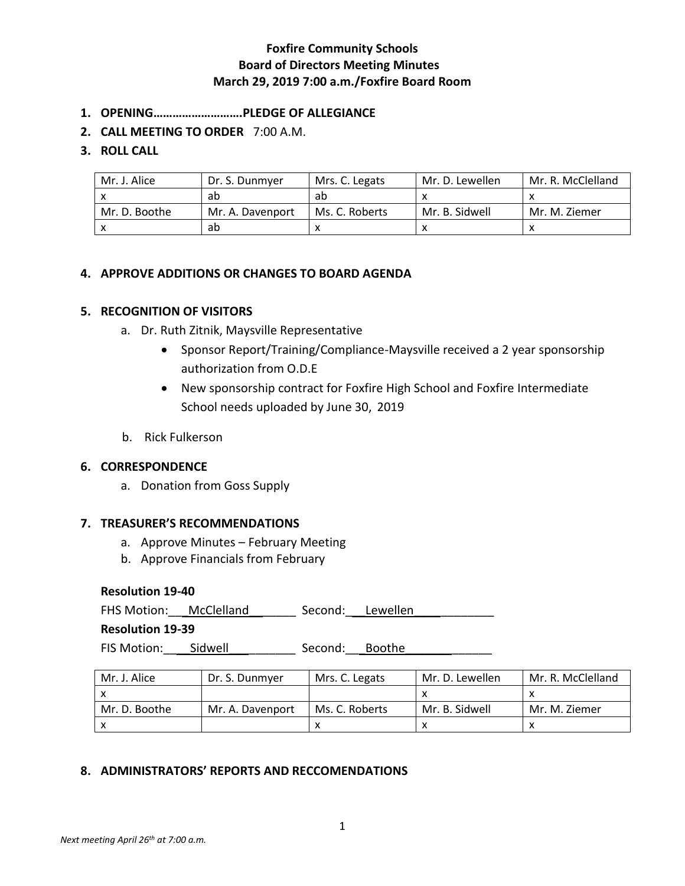- **1. OPENING……………………….PLEDGE OF ALLEGIANCE**
- **2. CALL MEETING TO ORDER** 7:00 A.M.

### **3. ROLL CALL**

| Mr. J. Alice  | Dr. S. Dunmyer   | Mrs. C. Legats | Mr. D. Lewellen | Mr. R. McClelland |
|---------------|------------------|----------------|-----------------|-------------------|
|               | ab               | ab             |                 |                   |
| Mr. D. Boothe | Mr. A. Davenport | Ms. C. Roberts | Mr. B. Sidwell  | Mr. M. Ziemer     |
|               | ab               |                |                 |                   |

## **4. APPROVE ADDITIONS OR CHANGES TO BOARD AGENDA**

## **5. RECOGNITION OF VISITORS**

- a. Dr. Ruth Zitnik, Maysville Representative
	- Sponsor Report/Training/Compliance-Maysville received a 2 year sponsorship authorization from O.D.E
	- New sponsorship contract for Foxfire High School and Foxfire Intermediate School needs uploaded by June 30, 2019
- b. Rick Fulkerson

## **6. CORRESPONDENCE**

a. Donation from Goss Supply

#### **7. TREASURER'S RECOMMENDATIONS**

- a. Approve Minutes February Meeting
- b. Approve Financials from February

### **Resolution 19-40**

FHS Motion: McClelland \_\_\_\_\_\_\_ Second: Lewellen

**Resolution 19-39**

FIS Motion: \_\_\_\_\_Sidwell \_\_\_\_\_\_\_\_\_\_\_\_\_\_ Second: \_\_\_Boothe \_\_\_\_\_\_\_\_\_\_\_\_\_\_\_\_\_\_\_\_\_\_

| Mr. J. Alice  | Dr. S. Dunmyer   | Mrs. C. Legats | Mr. D. Lewellen | Mr. R. McClelland |
|---------------|------------------|----------------|-----------------|-------------------|
|               |                  |                |                 |                   |
| Mr. D. Boothe | Mr. A. Davenport | Ms. C. Roberts | Mr. B. Sidwell  | Mr. M. Ziemer     |
|               |                  |                |                 |                   |

## **8. ADMINISTRATORS' REPORTS AND RECCOMENDATIONS**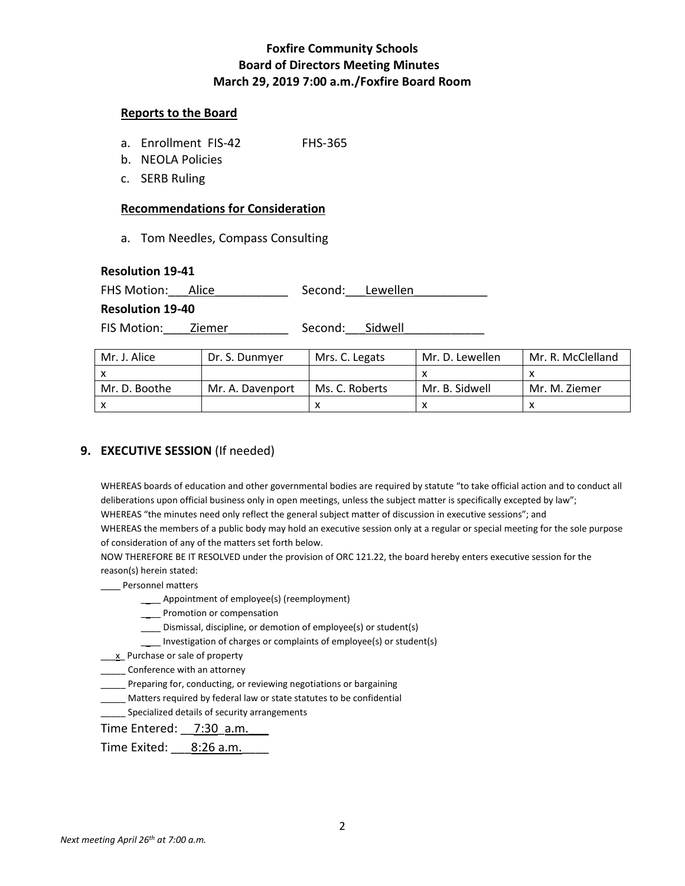#### **Reports to the Board**

- a. Enrollment FIS-42 FHS-365
- b. NEOLA Policies
- c. SERB Ruling

### **Recommendations for Consideration**

a. Tom Needles, Compass Consulting

#### **Resolution 19-41**

FHS Motion: Alice \_\_\_\_\_\_\_\_\_\_\_ Second: Lewellen

#### **Resolution 19-40**

FIS Motion: Ziemer Second: Sidwell

| Mr. J. Alice  | Dr. S. Dunmyer   | Mrs. C. Legats | Mr. D. Lewellen | Mr. R. McClelland |
|---------------|------------------|----------------|-----------------|-------------------|
|               |                  |                |                 |                   |
| Mr. D. Boothe | Mr. A. Davenport | Ms. C. Roberts | Mr. B. Sidwell  | Mr. M. Ziemer     |
|               |                  |                |                 |                   |

# **9. EXECUTIVE SESSION** (If needed)

WHEREAS boards of education and other governmental bodies are required by statute "to take official action and to conduct all deliberations upon official business only in open meetings, unless the subject matter is specifically excepted by law"; WHEREAS "the minutes need only reflect the general subject matter of discussion in executive sessions"; and WHEREAS the members of a public body may hold an executive session only at a regular or special meeting for the sole purpose

of consideration of any of the matters set forth below.

NOW THEREFORE BE IT RESOLVED under the provision of ORC 121.22, the board hereby enters executive session for the reason(s) herein stated:

- \_\_\_\_ Personnel matters
	- \_\_\_\_ Appointment of employee(s) (reemployment)
	- \_\_\_\_ Promotion or compensation
	- \_\_\_\_ Dismissal, discipline, or demotion of employee(s) or student(s)
	- \_\_\_\_ Investigation of charges or complaints of employee(s) or student(s)
- **K.** Purchase or sale of property

**Conference with an attorney** 

- \_\_\_\_\_ Preparing for, conducting, or reviewing negotiations or bargaining
- \_\_\_\_\_ Matters required by federal law or state statutes to be confidential
- **Specialized details of security arrangements**

Time Entered: 7:30 a.m.

Time Exited: \_\_\_ 8:26 a.m.